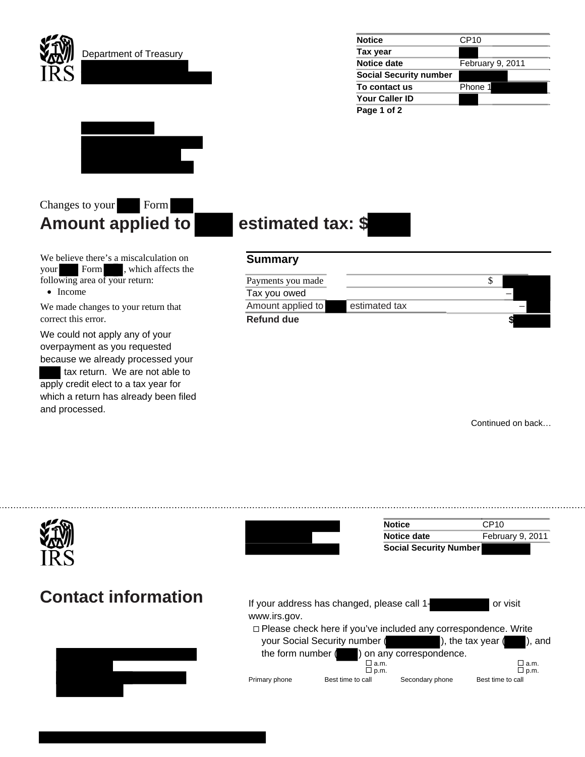

Department of Treasury

| <b>Notice</b>                 | CP <sub>10</sub> |
|-------------------------------|------------------|
| Tax year                      |                  |
| Notice date                   | February 9, 2011 |
| <b>Social Security number</b> |                  |
| To contact us                 | Phone 1          |
| <b>Your Caller ID</b>         |                  |
| Page 1 of 2                   |                  |



## Changes to your Form **Amount applied to estimated tax: \$**

We believe there's a miscalculation on your Form , which affects the following area of your return:

• Income

We made changes to your return that correct this error.

We could not apply any of your overpayment as you requested because we already processed your

 tax return. We are not able to apply credit elect to a tax year for which a return has already been filed and processed.

## **Summary**

| Payments you made |               |  |
|-------------------|---------------|--|
| Tax you owed      |               |  |
| Amount applied to | estimated tax |  |
| <b>Refund due</b> |               |  |

Continued on back…